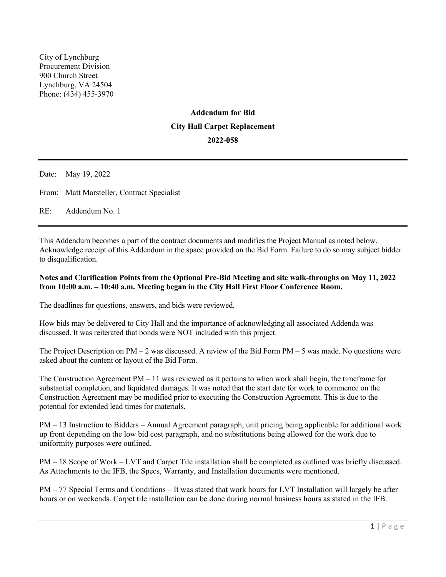City of Lynchburg Procurement Division 900 Church Street Lynchburg, VA 24504 Phone: (434) 455-3970

# **Addendum for Bid City Hall Carpet Replacement 2022-058**

Date: May 19, 2022 From: Matt Marsteller, Contract Specialist

RE: Addendum No. 1

This Addendum becomes a part of the contract documents and modifies the Project Manual as noted below. Acknowledge receipt of this Addendum in the space provided on the Bid Form. Failure to do so may subject bidder to disqualification.

# **Notes and Clarification Points from the Optional Pre-Bid Meeting and site walk-throughs on May 11, 2022 from 10:00 a.m. – 10:40 a.m. Meeting began in the City Hall First Floor Conference Room.**

The deadlines for questions, answers, and bids were reviewed.

How bids may be delivered to City Hall and the importance of acknowledging all associated Addenda was discussed. It was reiterated that bonds were NOT included with this project.

The Project Description on  $PM - 2$  was discussed. A review of the Bid Form  $PM - 5$  was made. No questions were asked about the content or layout of the Bid Form.

The Construction Agreement  $PM - 11$  was reviewed as it pertains to when work shall begin, the timeframe for substantial completion, and liquidated damages. It was noted that the start date for work to commence on the Construction Agreement may be modified prior to executing the Construction Agreement. This is due to the potential for extended lead times for materials.

PM – 13 Instruction to Bidders – Annual Agreement paragraph, unit pricing being applicable for additional work up front depending on the low bid cost paragraph, and no substitutions being allowed for the work due to uniformity purposes were outlined.

PM – 18 Scope of Work – LVT and Carpet Tile installation shall be completed as outlined was briefly discussed. As Attachments to the IFB, the Specs, Warranty, and Installation documents were mentioned.

PM – 77 Special Terms and Conditions – It was stated that work hours for LVT Installation will largely be after hours or on weekends. Carpet tile installation can be done during normal business hours as stated in the IFB.